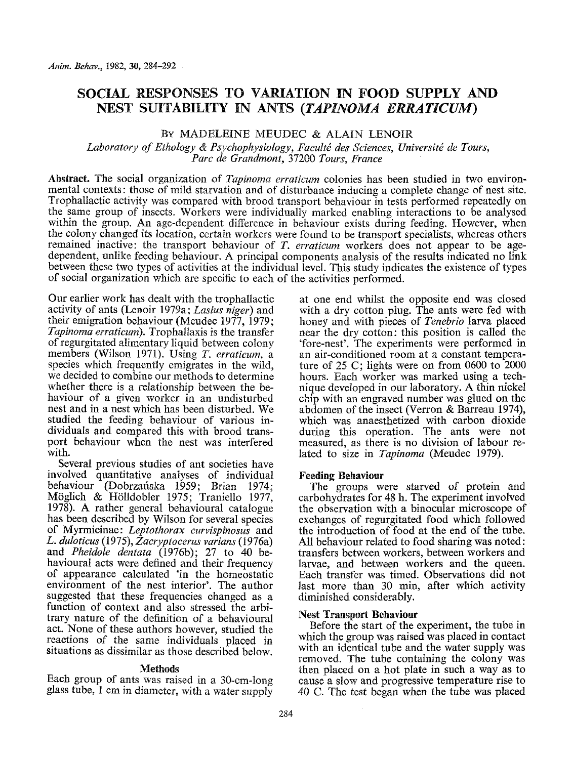# **SOCIAL RESPONSES TO VARIATION IN FOOD SUPPLY AND NEST SUITABILITY IN ANTS** *(TAPINOMA ERRATICUM)*

# By MADELEINE MEUDEC & ALAIN LENOIR

Laboratory of Ethology & Psychophysiology, Faculté des Sciences, Université de Tours, *Parc de Grandmont,* 37200 *Tours, France* 

**Abstract.** The social organization of *Tapinorna erraticum* colonies has been studied in two environmental contexts: those of mild starvation and of disturbance inducing a complete change of nest site. Trophallactic activity was compared with brood transport behaviour in tests performed repeatedly on the same group of insects. Workers were individually marked enabling interactions to be analysed within the group. An age-dependent difference in behaviour exists during feeding. However, when the colony changed its location, certain workers were found to be transport specialists, whereas others remained inactive: the transport behaviour of *T. erraticum* workers does not appear to be agedependent, unlike feeding behaviour. A principal components analysis of the results indicated no link between these two types of activities at the individual level. This study indicates the existence of types of social organization which are specific to each of the activities performed.

Our earlier work has dealt with the trophallactic activity of ants (Lenoir 1979a; *Lasius niger)* and their emigration behaviour (Meudec 1977, 1979; *Tapinoma erratieurn).* Trophaltaxis is the transfer of regurgitated alimentary liquid between colony members (Wilson 1971). Using *T. erraticum, a*  species which frequently emigrates in the wild, we decided to combine our methods to determine whether there is a relationship between the behaviour of a given worker in an undisturbed nest and in a nest which has been disturbed. We studied the feeding behaviour of various individuals and compared this with brood transport behaviour when the nest was interfered with.

Several previous studies of ant societies have involved quantitative analyses of individual behaviour (Dobrzafiska 1959; Brian 1974; M6glich & H611dobler 1975; Traniello 1977, 1978). A rather general behavioural catalogue has been described by Wilson for several species of Myrmicinae: *Leptothorax curvispinosus* and *L. duloticus (1975), Zacrvptocerus varians (1976a)*  and *Pheidole dentata* (1976b); 27 to 40 behavioural acts were defined and their frequency of appearance calculated 'in the homeostatic environment of the nest interior'. The author suggested that these frequencies changed as a function of context and also stressed the arbitrary nature of the definition of a behavioural act. None of these authors however, studied the reactions of the same individuals placed in situations as dissimilar as those described below.

## **Methods**

Each group of ants was raised in a 30-cm-long glass tube, 1 cm in diameter, with a water supply

at one end whilst the opposite end was closed with a dry cotton plug. The ants were fed with honey and with pieces of *Tenebrio* larva placed near the dry cotton: this position is called the 'fore-nest'. The experiments were performed in an air-conditioned room at a constant temperature of 25 C; lights were on from 0600 to 2000 hours. Each worker was marked using a technique developed in our laboratory. A thin nickel chip with an engraved number was glued on the abdomen of the insect (Verron & Barreau 1974), which was anaesthetized with carbon dioxide during this operation. The ants were not measured, as there is no division of labour related to size in *Tapinoma* (Meudec 1979).

## **Feeding Behaviour**

The groups were starved of protein and carbohydrates for 48 h. The experiment involved the observation with a binocular microscope of exchanges of regurgitated food which followed the introduction of food at the end of the tube. All behaviour related to food sharing was noted: transfers between workers, between workers and larvae, and between workers and the queen. Each transfer was timed. Observations did not last more than 30 min, after which activity diminished considerably.

## **Nest Transport Behaviour**

Before the start of the experiment, the tube in which the group was raised was placed in contact with an identical tube and the water supply was removed. The tube containing the colony was then placed on a hot plate in such a way as to cause a slow and progressive temperature rise to 40 C. The test began when the tube was placed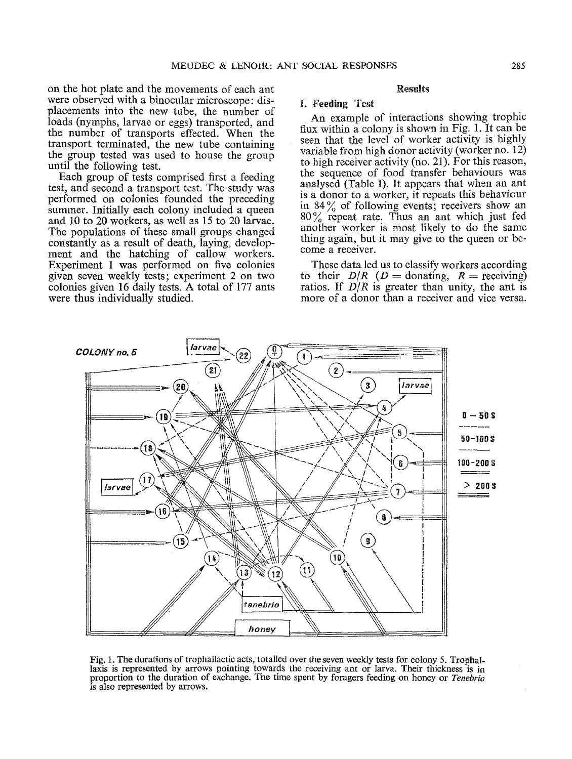on the hot plate and the movements of each ant were observed with a binocular microscope: displacements into the new tube, the number of loads (nymphs, larvae or eggs) transported, and the number of transports effected. When the transport terminated, the new tube containing the group tested was used to house the group until the following test.

Each group of tests comprised first a feeding test, and second a transport test. The study was performed on colonies founded the preceding summer. Initially each colony included a queen and 10 to 20 workers, as well as 15 to 20 larvae. The populations of these small groups changed constantly as a result of death, laying, development and the hatching of callow workers. Experiment 1 was performed on five colonies given seven weekly tests; experiment 2 on two colonies given 16 daily tests. A total of 177 ants were thus individually studied.

#### Results

### **L Feeding Test**

An example of interactions showing trophic flux within a colony is shown in Fig. 1. It can be seen that the level of worker activity is highly variable from high donor activity (worker no. 12) to high receiver activity (no. 21). For this reason, the sequence of food transfer behaviours was analysed (Table I). It appears that when an ant is a donor to a worker, it repeats this behaviour in  $84\%$  of following events; receivers show an 80% repeat rate. Thus an ant which just fed another worker is most likely to do the same thing again, but it may give to the queen or become a receiver.

These data led us to classify workers according to their  $D/R$  ( $D =$  donating,  $R =$  receiving) ratios. If  $D/R$  is greater than unity, the ant is more of a donor than a receiver and vice versa.



Fig. 1. The durations of trophallactic acts, totalled over the seven weekly tests for colony 5. Trophallaxis is represented by arrows pointing towards the receiving ant or larva. Their thickness is in proportion to the duration of exchange. The time spent by foragers feeding on honey or *Tenebrio*  is also represented by arrows.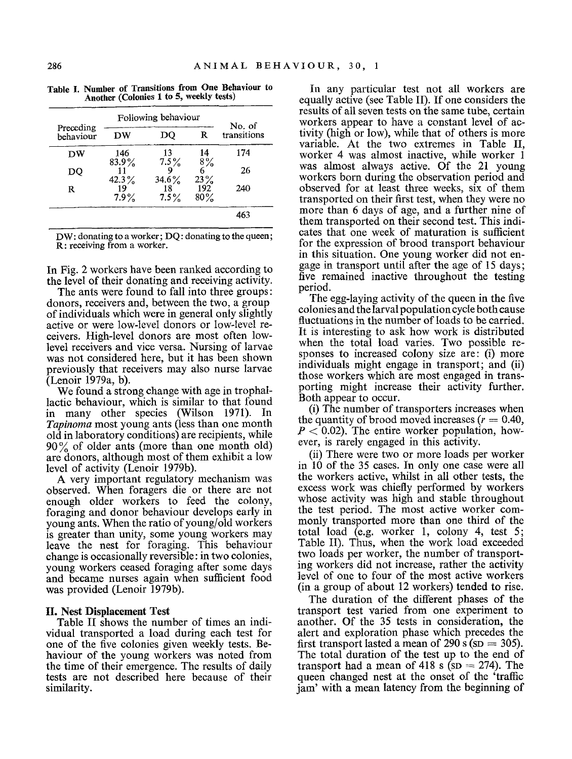| Preceding |          | Following behaviour |        | No. of      |
|-----------|----------|---------------------|--------|-------------|
| hehaviour | DW       | DO                  | R      | transitions |
| DW        | 146      | 13                  | 14     | 174         |
|           | 83.9%    | 7.5%                | 8%     |             |
| DO        |          | 9                   | 6      | 26          |
|           | $42.3\%$ | $34.6\%$            | 23%    |             |
| R         | 19       | 18                  | 192    | 240         |
|           | 7.9%     | 7.5%                | $80\%$ |             |
|           |          |                     |        | 463         |

**Table I. Number of Transitions from One Behaviour to Another (Colonies 1 to 5, weekly tests)** 

DW: donating to a worker; DQ: donating to the queen; R: receiving from a worker.

In Fig. 2 workers have been ranked according to the level of their donating and receiving activity.

The ants were found to fall into three groups: donors, receivers and, between the two, a group of individuals which were in general only slightly active or were low-level donors or Iow-level receivers. High-level donors are most often lowlevel receivers and vice versa. Nursing of larvae was not considered here, but it has been shown previously that receivers may also nurse larvae (Lenoir 1979a, b).

We found a strong change with age in trophallactic behaviour, which is similar to that found in many other species (Wilson 1971). In *Tapinoma* most young ants (less than one month old in laboratory conditions) are recipients, while  $90\%$  of older ants (more than one month old) are donors, although most of them exhibit a low level of activity (Lenoir 1979b).

A very important regulatory mechanism was observed. When foragers die or there are not enough older workers to feed the colony, foraging and donor behaviour develops early in young ants. When the ratio of young/old workers is greater than unity, some young workers may leave the nest for foraging. This behaviour change is occasionally reversible: in two colonies, young workers ceased foraging after some days and became nurses again when sufficient food was provided (Lenoir 1979b).

# **II. Nest Displacement Test**

Table II shows the number of times an individual transported a load during each test for one of the five colonies given weekly tests. Behaviour of the young workers was noted from the time of their emergence. The results of daily tests are not described here because of their similarity.

In any particular test not all workers are equally active (see Table II). If one considers the results of all seven tests on the same tube, certain workers appear to have a constant level of activity (high or low), while that of others is more variable. At the two extremes in Table II, worker 4 was almost inactive, while worker 1 was almost always active. Of the 21 young workers born during the observation period and observed for at least three weeks, six of them transported on their first test, when they were no more than 6 days of age, and a further nine of them transported on their second test. This indicates that one week of maturation is sufficient for the expression of brood transport behaviour in this situation. One young worker did not engage in transport until after the age of 15 days; five remained inactive throughout the testing period.

The egg-laying activity of the queen in the five colonies and the larvalpopulation cycle both cause fluctuations in the number of loads to be carried. It is interesting to ask how work is distributed when the total load varies. Two possible responses to increased colony size are: (i) more individuals might engage in transport; and (ii) those workers which are most engaged in transporting might increase their activity further. Both appear to occur.

(i) The number of transporters increases when the quantity of brood moved increases  $(r = 0.40)$ .  $P < 0.02$ ). The entire worker population, however, is rarely engaged in this activity.

(ii) There were two or more loads per worker in 10 of the 35 cases. In only one case were all the workers active, whilst in all other tests, the excess work was chiefly performed by workers whose activity was high and stable throughout the test period. The most active worker commonly transported more than one third of the total load (e.g. worker 1, colony 4, test 5; Table II). Thus, when the work load exceeded two loads per worker, the number of transporting workers did not increase, rather the activity level of one to four of the most active workers (in a group of about 12 workers) tended to rise.

The duration of the different phases of the transport test varied from one experiment to another. Of the 35 tests in consideration, the alert and exploration phase which precedes the first transport lasted a mean of  $290 \text{ s}$  (sp = 305). The total duration of the test up to the end of transport had a mean of 418 s ( $SD = 274$ ). The queen changed nest at the onset of the 'traffic jam' with a mean latency from the beginning of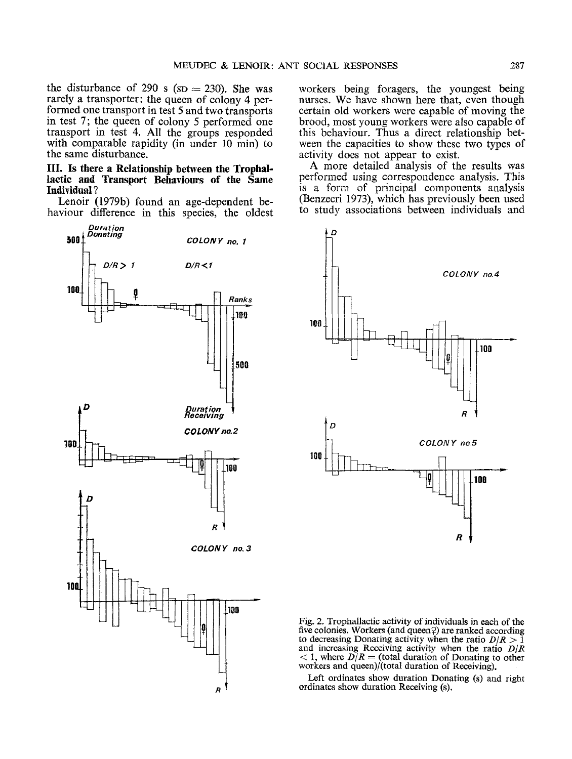the disturbance of 290 s ( $SD = 230$ ). She was rarely a transporter: the queen of colony 4 performed one transport in test 5 and two transports in test 7; the queen of colony 5 performed one transport in test 4. All the groups responded with comparable rapidity (in under 10 min) to the same disturbance.

### IlL **Is there a Relationship between the Trophallactic and Transport Behaviours of the Same**  Individual ?

Lenoir (1979b) found an age-dependent behaviour difference in this species, the oldest



workers being foragers, the youngest being nurses. We have shown here that, even though certain old workers were capable of moving the brood, most young workers were also capable of this behaviour. Thus a direct relationship between the capacities to show these two types of activity does not appear to exist.

A more detailed analysis of the results was .performed using correspondence analysis. This is a form of principal components analysis (Benzecri 1973), which has previously been used to study associations between individuals and



Fig. 2. Trophallactic activity of individuals in each of the five colonies. Workers (and queen $\varphi$ ) are ranked according to decreasing Donating activity when the ratio  $D/R > 1$ and increasing Receiving activity when the ratio  $D/R$  < 1, where  $D/R$  = (total duration of Donating to other workers and queen)/(total duration of Receiving).

Left ordinates show duration Donating (s) and right ordinates show duration Receiving (s).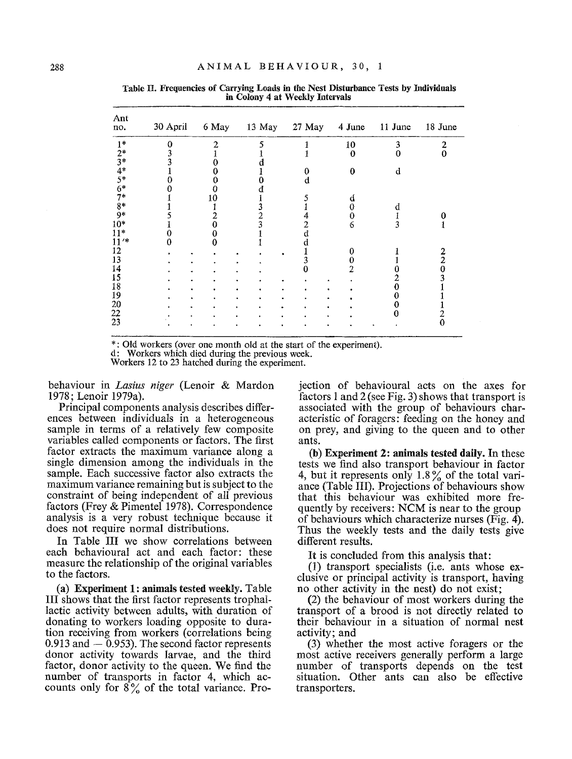| no.     | 30 April | 6 May | 13 May 27 May |   | 4 June   | 11 June | 18 June |
|---------|----------|-------|---------------|---|----------|---------|---------|
| $1*$    |          | 2     |               |   | 10       | 3       | 2       |
| $2*$    |          |       |               |   | $\Omega$ | 0       | 0       |
| $3*$    |          |       |               |   |          |         |         |
| $4*$    |          |       |               | 0 | $\theta$ | d       |         |
| $5*$    |          |       |               |   |          |         |         |
| $6*$    |          |       |               |   |          |         |         |
| $7*$    |          | 10    |               |   | d        |         |         |
| $8*$    |          |       |               |   | 0        | d       |         |
| 9*      |          |       |               |   | 0        |         |         |
| $10*$   |          |       |               | 2 | 6        | ٦       |         |
| $11*$   |          |       |               |   |          |         |         |
| $11'$ * |          |       |               |   |          |         |         |
| 12      |          |       |               |   |          |         |         |
| 13      |          |       |               | 3 |          |         | 2       |
| 14      |          |       |               |   |          |         |         |
| 15      |          |       |               |   |          |         |         |
| 18      |          |       |               |   |          |         |         |
| 19      |          |       |               |   |          |         |         |
| 20      |          |       |               |   |          |         |         |
| 22      |          |       |               |   |          |         |         |
| 23      |          |       |               |   |          |         | 0       |

**Table 1I. Frequencies of Carrying Loads in the Nest Disturbance Tests by individuals in Colony 4 at Weekly Intervals** 

\*: Old workers (over one month old at the start of the experiment).

d: Workers which died during the previous week.

Workers 12 to 23 hatched during the experiment.

behaviour in *Lasius niger* (Lenoir & Mardon 1978; Lenoir 1979a).

Principal components analysis describes differences between individuals in a heterogeneous sample in terms of a relatively few composite variables called components or factors. The first factor extracts the maximum variance along a single dimension among the individuals in the sample. Each successive factor also extracts the maximum variance remaining but is subject to the constraint of being independent of all previous factors (Frey & Pimentel 1978). Correspondence analysis is a very robust technique because it does not require normal distributions.

In Table III we show correlations between each behavioural act and each factor: these measure the relationship of the original variables to the factors.

**(a) Experiment 1:** animals tested weekly. Table III shows that the first factor represents trophallactic activity between adults, with duration of donating to workers loading opposite to duration receiving from workers (correlations being  $0.913$  and  $-0.953$ ). The second factor represents donor activity towards larvae, and the third factor, donor activity to the queen. We find the number of transports in factor 4, which accounts only for  $8\%$  of the total variance. Pro-

jection of behavioural acts on the axes for factors 1 and 2 (see Fig. 3) shows that transport is associated with the group of behaviours characteristic of foragers: feeding on the honey and on prey, and giving to the queen and to other ants.

(b) Experiment 2: **animals tested** daily. In these tests we find also transport behaviour in factor 4, but it represents only  $1.8\%$  of the total variance (Table III). Projections of behaviours show that this behaviour was exhibited more frequently by receivers: NCM is near to the group of behaviours which characterize nurses (Fig. 4). Thus the weekly tests and the daily tests give different results.

It is concluded from this analysis that:

(1) transport specialists (i.e. ants whose exclusive or principal activity is transport, having no other activity in the nest) do not exist;

(2) the behaviour of most workers during the transport of a brood is not directly related to their behaviour in a situation of normal nest activity; and

(3) whether the most active foragers or the most active receivers generally perform a large number of transports depends on the test situation. Other ants can also be effective transporters.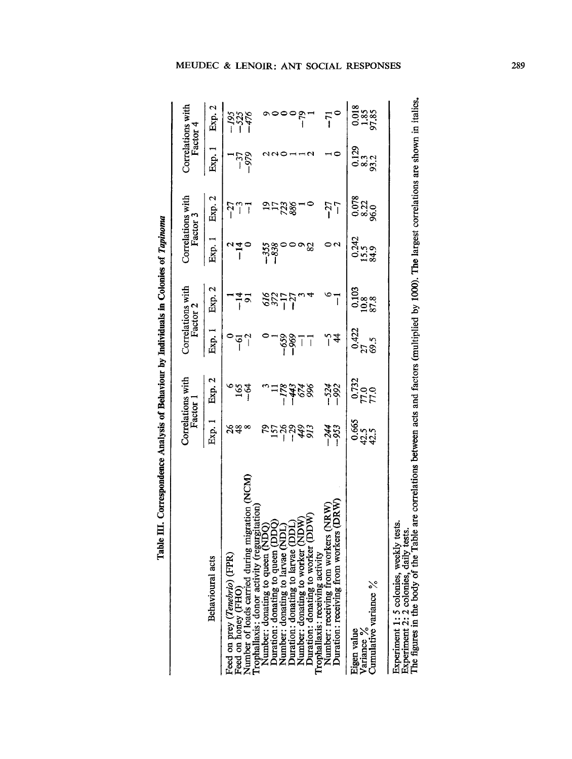| ׇ֚֘֡ |
|------|
|      |
| l    |

|                                                                                                | Factor <sup>1</sup>            | Correlations with        | Factor 2                 | Correlations with    | Factor 3                | Correlations with    | Factor 4                | Correlations with |
|------------------------------------------------------------------------------------------------|--------------------------------|--------------------------|--------------------------|----------------------|-------------------------|----------------------|-------------------------|-------------------|
| Behavioural acts                                                                               | Exp. 1                         | Exp. 2                   | Exp. 1                   | Exp. 2               | Exp. 1                  | Exp. 2               | Exp. 1                  | Exp. 2            |
| Feed on prey (Tenebrio) (FPR)<br>Feed on honey (FHO                                            | నిఞ $^{\infty}_{\infty}$       | $\tilde{z}^{\alpha}_{2}$ | $\frac{6}{2}$            | $\frac{4}{5}$        | $\frac{4}{1}$           | $-27$<br>77          | $-37$<br>529            | 5335<br>- 135     |
| Number of loads carried during migration (NCM)<br>Trophallaxis: donor activity (regurgitation) |                                |                          | $\overline{a}$           |                      |                         |                      |                         |                   |
| Number: donating to queen (                                                                    |                                |                          |                          |                      | -338                    |                      |                         |                   |
| Juration: donating to queen<br>Number: donating to larvae (                                    | <u>ន្ទ្រីមន្ទ្រី។</u><br>ទង្គី |                          |                          | $\frac{28777}{11}$   |                         | <u>ವಾದಜಿ</u>         |                         |                   |
| Duration: donating to larvae (                                                                 |                                | $\frac{8878}{1871}$      | -88<br>-<br>1            |                      |                         |                      |                         |                   |
| Number: donating to worker (NDW                                                                |                                |                          | $\overline{\phantom{a}}$ |                      |                         |                      |                         | $-79$             |
| NOQ<br>Duration: donating to worker (                                                          |                                |                          | ī                        |                      | 82                      |                      |                         |                   |
| Number: receiving from workers (NRW)<br>rophallaxis: receiving activity                        |                                |                          |                          |                      |                         | $-27$                |                         |                   |
| Duration: receiving from workers (DRW)                                                         | -244<br>- 953                  | $-524$<br>$-992$         | $\frac{1}{4}$            | ī                    |                         | $\overline{1}$       |                         | $\bar{r}^{\circ}$ |
| Eigen value                                                                                    | 0.665<br>0.41<br>0.41          | $\frac{0.732}{77.0}$     | 0.422                    | $\frac{0.103}{10.8}$ |                         |                      |                         |                   |
| Cumulative variance %<br>Variance %                                                            |                                |                          | 27<br>69.5               |                      | $0.242$<br>15.5<br>84.9 | 0320<br>0820<br>98.0 | 0.129<br>9.3.2<br>9.3.2 | $\frac{338}{258}$ |
| Experiment 1: 5 colonies, weekly tests                                                         |                                |                          |                          |                      |                         |                      |                         |                   |

 $\mathbf{\overline{c}}$  $\subseteq$ 0  $\Xi$  . ç  $\mathbf s$ **8 QJ**  ~0 <u>oo</u>c  $-2.5$ 

# **MEUDEC & LENOIR: ANT SOCIAL RESPONSES 289**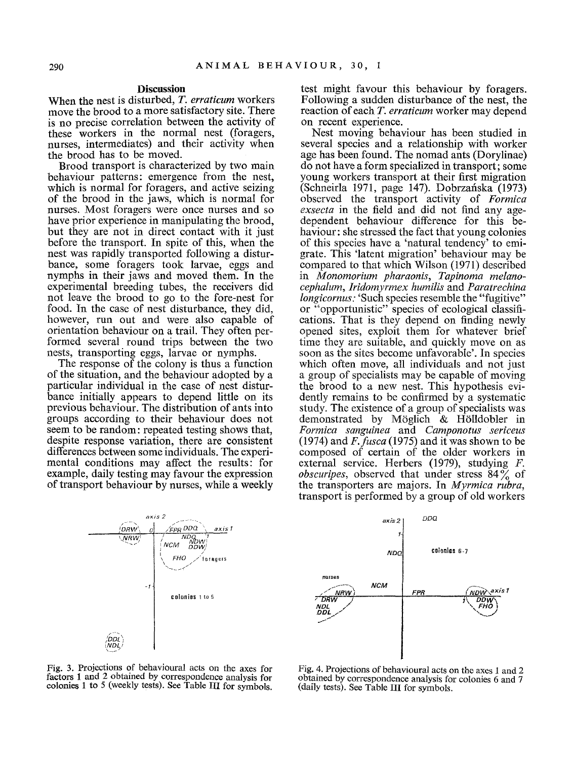#### **Discussion**

When the nest is disturbed, *T. erraticum* workers move the brood to a more satisfactory site. There is no precise correlation between the activity of these workers in the normal nest (foragers, nurses, intermediates) and their activity when the brood has to be moved.

Brood transport is *characterized* by two main behaviour patterns: *emergence* from the nest, which is normal for foragers, and active seizing of the brood in the jaws, which is normal for nurses. Most foragers were once nurses and so have prior experience in manipulating the brood, but they are not in direct contact with it just before the transport. In spite of this, when the nest was rapidly transported following a disturbance, some foragers took larvae, eggs and nymphs in their jaws and moved them. In the experimental breeding tubes, the receivers did not leave the brood to go to the fore-nest for food. In the case of nest disturbance, they did, however, run out and were also capable of orientation behaviour on a trail. They often performed several round trips between the two nests, transporting eggs, larvae or nymphs.

The response of the colony is thus a function of the situation, and the behaviour adopted by a particular individual in the case of nest disturbance initially appears to depend little on its previous behaviour. The distribution of ants into groups according to their behaviour does not seem to be random: repeated testing shows that, despite response variation, there are consistent differences between some individuals. The experimental conditions may affect the results: for example, daily testing may favour the expression of transport behaviour by nurses, while a weekly

test might favour this behaviour by foragers. Following a sudden disturbance of the nest, the reaction of each *T. erraticurn* worker may depend on recent experience.

Nest moving behaviour has been studied in several species and a relationship with worker age has been found. The nomad ants (Dorylinae) do not have a form specialized in transport; some young workers transport at their first migration (Schneirla 1971, page 147). Dobrzafiska (1973) observed the transport activity of *Formica exsecta* in the field and did not find any agedependent behaviour difference for this behaviour: she stressed the fact that young colonies of this species have a 'natural tendency' to emigrate. This 'latent migration' behaviour may be compared to that which Wilson (1971) described in *Monornorium pharaonis, Tapinoma rnelanocephalurn, Iridomyrrnex hurnilis* and *Paratrechina longicornus:* 'Such species resemble the "fugitive" or "opportunistic" species of ecological classifications. That is they depend on finding newly opened sites, exploit them for whatever brief time they are suitable, and quickly move on as soon as the sites become unfavorable'. In species which often move, all individuals and not just a group of specialists may be capable of moving the brood to a new nest. This hypothesis evidently remains to be confirmed by a systematic study. The existence of a group of specialists was demonstrated by Möglich & Hölldobler in *Formica sanguinea* and *Carnponotus sericeus*  (1974) and *F.fusca* (1975) and it was shown to be composed of certain of the older workers in external service. Herbers (1979), studying F. *obscuripes,* observed that under stress 84% of the transporters are majors. In *Myrrnica rubra,*  transport is performed by a group of old workers



Fig. 3. Projections of behavioural acts on the axes for factors 1 and 2 obtained by correspondence analysis for colonies 1 to 5 (weekly tests). See Table III for symbols.



Fig. 4. Projections of behavioural acts on the axes 1 and 2 obtained by correspondence analysis for colonies 6 and 7 (daily tests). See Table III for symbols.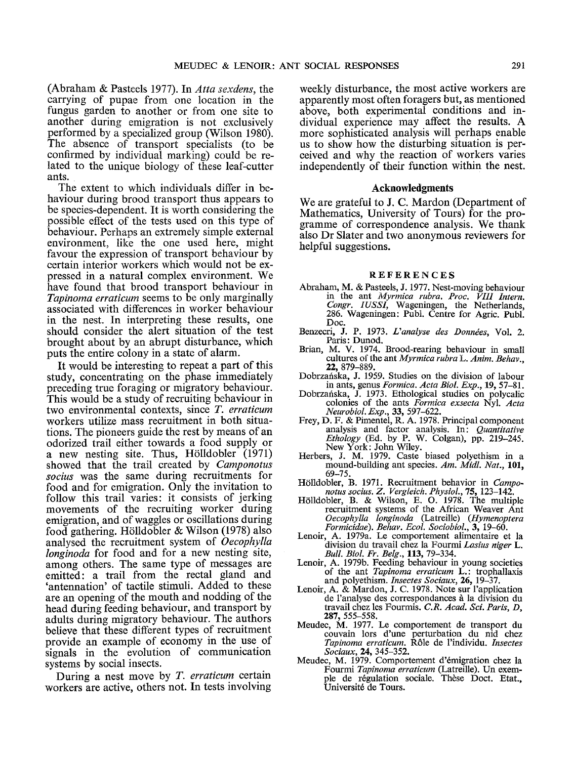(Abraham & Pasteels 1977). In *Atta sexdens,* the carrying of pupae from one location in the fungus garden to another or from one site to another during emigration is not exclusively performed by a specialized group (Wilson 1980). The absence of transport specialists (to be confirmed by individual marking) could be related to the unique biology of these leaf-cutter ants.

The extent to which individuals differ in behaviour during brood transport thus appears to be species-dependent. It is worth considering the possible effect of the tests used on this type of behaviour. Perhaps an extremely simple external environment, like the one used here, might favour the expression of transport behaviour by certain interior workers which would not be expressed in a natural complex environment. We have found that brood transport behaviour in *Tapinoma erraticum* seems to be only marginally associated with differences in worker behaviour in the nest. In interpreting these results, one should consider the alert situation of the test brought about by an abrupt disturbance, which puts the entire colony in a state of alarm.

It would be interesting to repeat a part of this study, concentrating on the phase immediately preceding true foraging or migratory behaviour. This would be a study of recruiting behaviour in two environmental contexts, since *T. erraticurn*  workers utilize mass recruitment in both situations. The pioneers guide the rest by means of an odorized trail either towards a food supply or a new nesting site. Thus, Hölldobler  $(1971)$ showed that the trail created by *Camponotus socius* was the same during recruitments for food and for emigration. Only the invitation to follow this trail varies: it consists of jerking movements of the recruiting worker during emigration, and of waggles or oscillations during food gathering. Hölldobler & Wilson (1978) also analysed the recruitment system of *Oecophylla longinoda* for food and for a new nesting site, among others. The same type of messages are emitted: a trail from the rectal gland and 'antennation' of tactile stimuli. Added to these are an opening of the mouth and nodding of the head during feeding behaviour, and transport by adults during migratory behaviour. The authors believe that these different types of recruitment provide an example of economy in the use of signals in the evolution of communication systems by social insects.

During a nest move by *T. erraticum* certain workers are active, others not. In tests involving weekly disturbance, the most active workers are apparently most often foragers but, as mentioned above, both experimental conditions and individual experience may affect the results. A more sophisticated analysis will perhaps enable us to show how the disturbing situation is perceived and why the reaction of workers varies independently of their function within the nest.

### **Acknowledgments**

We are grateful to J. C. Mardon (Department of Mathematics, University of Tours) for the programme of correspondence analysis. We thank also Dr Slater and two anonymous reviewers for helpful suggestions.

#### **REFERENCES**

- Abraham, M. & Pasteels, J. 1977. Nest-moving behaviour in the ant *Myrmica rubra. Proc. VIII Intern. Congr. IUSSI,* Wageningen, the Netherlands, 286. Wageningen: Publ. Centre for Agric. Publ. Doc.
- Benzecri, J. P. 1973. *L'analyse des Données*, Vol. 2. Paris: Dunod.
- Brian, M. V. 1974. Brood-rearing behaviour in small cultures of the ant *Myrmica rubra L. Anim. Behav.*, 22, 879-889.
- Dobrzafiska, J. 1959. Studies on the division of labour in ants, genus *Formica..4cta Biol. Exp.,* 19, 57-81.
- Dobrzafiska, J. 1973. Ethological studies on polycalic colonies of the ants Formica exsecta Nyl. Acta *Neurobiol. Exp.,* 33, 597-622.
- Frey, D. F. & Pimentel, R. A. 1978. Principal component analysis and factor analysis. In: *Quantitative Ethology* (Ed. by P. W. Colgan), pp. 219-245. New York: John Wiley.
- Herbers, J. M. 1979. Caste biased polyethism in a mound-building ant species. *Am. Midl. Nat.,* 101, 69-75.
- Hölldobler, B. 1971. Recruitment behavior in *Camponotus socius. Z. Vergleich. PhysioL,* 75, 123-142.
- Hölldobler, B. & Wilson, E. O. 1978. The multiple recruitment systems of the African Weaver Ant *Oecophylla longinoda* (Latreille) *(Hymenoptera Formicidae). Behav. Ecol. Sociobiol.,* 3, 19-60.
- Lenoir, A. 1979a. Le comportement alimentaire et la division du travail chez la Fourmi *Lasius niger L. Bull. Biol. Fr. Belg.,* 113, 79-334.
- Lenoir, A. 1979b. Feeding behaviour in young societies of the ant *Tapinoma erraticum* L.: trophallaxis and polyethism. *Insectes Sociaux,* 26, 19-37.
- Lenoir, A. & Mardon, J. C. 1978. Note sur l'application de l'analyse des correspondances à la division du travail chez les Fourmis. *C.R. Acad. Sci. Paris, D,*  287, 555-558.
- Meudec, M. 1977. Le comportement de transport du couvain lors d'une perturbation du nid chez *Tapinoma erraticum.* R61e de l'individu. *Insectes Sociaux,* 24, 345-352.
- Meudec, M. 1979. Comportement d'émigration chez la Fourmi *Tapinoma erraticum* (Latreille). Un exem-<br>ple de régulation sociale. Thèse Doct. Etat., Universit6 de Tours.